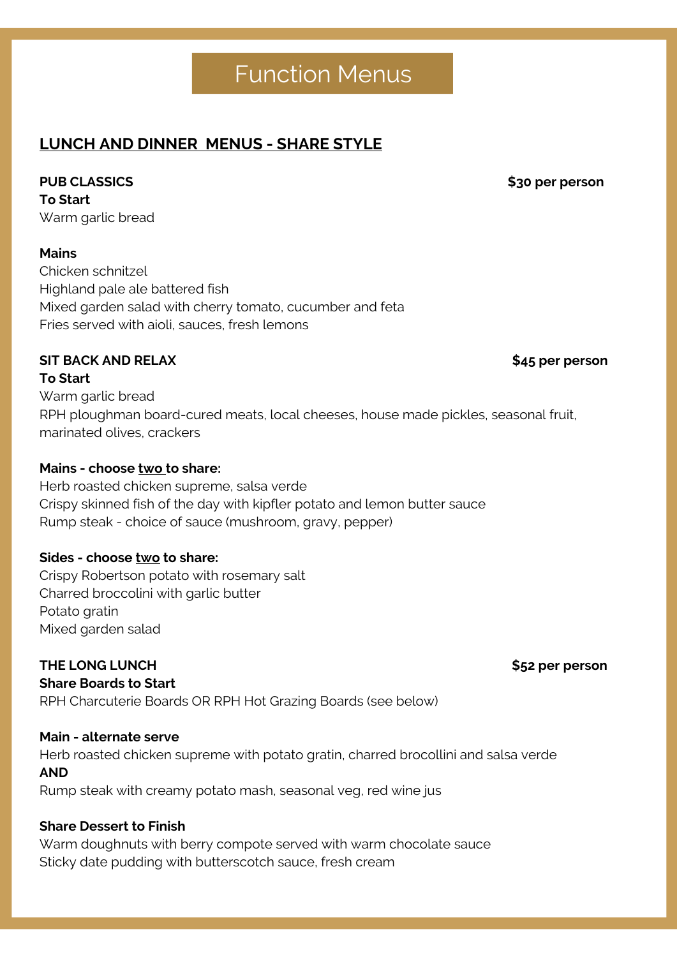# Function Menus

# **RPH Charcuterie Board \$95 per board LUNCH AND DINNER MENUS - SHARE STYLE**

# **PUB CLASSICS**

 $\Gamma$ **O Start** Warm garlic bread

# **Mains**

Chicken schnitzel Highland pale ale battered fish Mixed garden salad with cherry tomato, cucumber and feta Fries served with aioli, sauces, fresh lemons

# **SIT BACK** AND RELAX **\$45** per person

#### To Start with Asian dipping sauce of the Asian dipping sauce of the Asian dipping sauce of the Asian dipping sa Warm garlic bread warm garlic bread RPH ploughman board-cured meats, local cheeses, house made pickles, seasonal fruit, marinated olives, crackers **To Start**

#### Sweet potato wedges, aioli  $S = \text{C} \cdot \text{C}$ **Mains - choose two to share:**

**Represented Board Contract Construction Board Board** Rump steak - choice of sauce (mushroom, gravy, pepper) Herb roasted chicken supreme, salsa verde Crispy skinned fish of the day with kipfler potato and lemon butter sauce

# **Sides - choose <b>two** to share:

State Putters **River and free and free and free state** creation creamers created that created the creation of the creation of the creation of the creation of the creation of the creation of the creation of the creation of Warm doughnuts with berry compote and warm chocolate sauce Charred broccolini with garlic butter Potato gratin **Premium Lounge Package \$35 per person** Mixed garden salad

# Glass of St Louis sparkling on arrival **THE LONG LUNCH \$52 per person**

**Share Boards to Start** 

RPH Charcuterie Boards OR RPH Hot Grazing Boards (see below) Marinated chicken skewers with house chutney

# **Main - alternate serve**

Herb roasted chicken supreme with potato gratin, charred brocollini and salsa verde  $AND$ **AND**

Rump steak with creamy potato mash, seasonal veg, red wine jus

# **Share Dessert to Finish**

Warm doughnuts with berry compote served with warm chocolate sauce Sticky date pudding with butterscotch sauce, fresh cream

**PUB CLASSICS \$30 per person**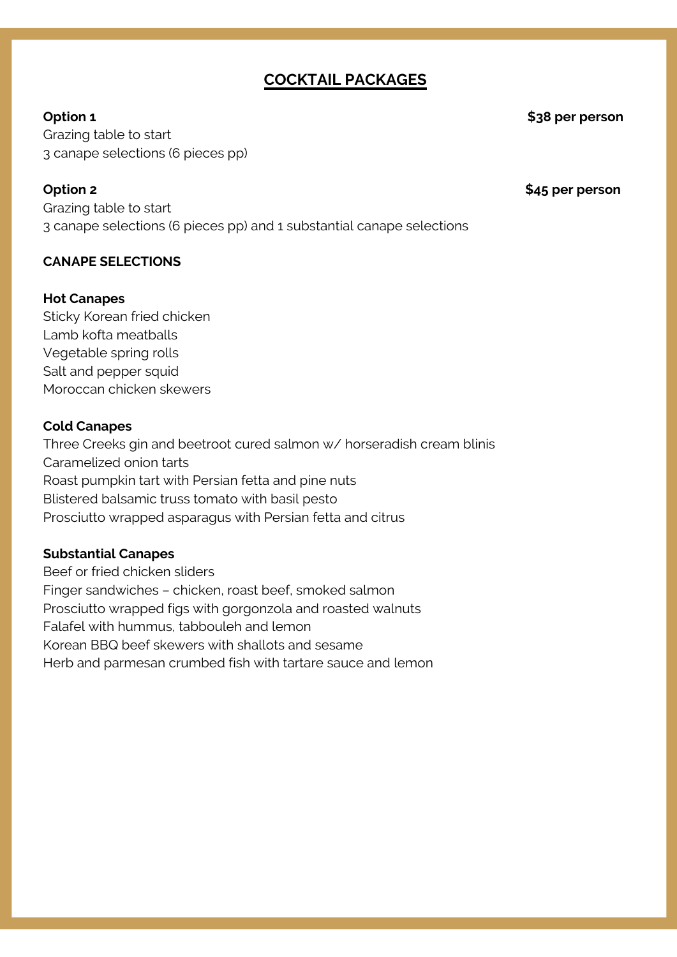# **COCKTAIL PACKAGES**

### **Option 1 \$38 per person**

Ceremony Packages Packages Packages Packages Packages Packages Packages Packages Packages Packages Packages Pa<br>Tanàna amin'ny faritr'i Packages Packages Packages Packages Packages Packages Packages Packages Packages Packa **C**razing table to start 3 canape selections (6 pieces pp)

**Option 2 \$45 per person**

**Option 2 \$39.00 pp** Grazing table to start 3 canape selections (6 pieces pp) and 1 substantial canape selections

### **CANAPE SELECTIONS**

# **Hot Canapes**

Lamb kofta meatballs Salt and pepper squid Moroccan chicken skewers must be dieder must derived a sweet must be dieder must Sticky Korean fried chicken Vegetable spring rolls

# **Cold Canapes**

Three Creeks gin and beetroot cured salmon w/ horseradish cream blinis Roast pumpkin tart with Persian fetta and pine nuts Prosciutto wrapped asparagus with Persian fetta and citrus Lamb meatballs, cheese fondue -tomato sauce Caramelized onion tarts Blistered balsamic truss tomato with basil pesto

# **Substantial Canapes** and herb, basil may be discussed and herb, basil may be discussed and herb. The discussed of  $\mathbb{R}$

Beef or fried chicken sliders Finger sandwiches - chicken, roast beef, smoked salmon Prosciutto wrapped figs with gorgonzola and roasted walnuts Falafel with hummus, tabbouleh and lemon Korean BBQ beef skewers with shallots and sesame Herb and parmesan crumbed fish with tartare sauce and lemon